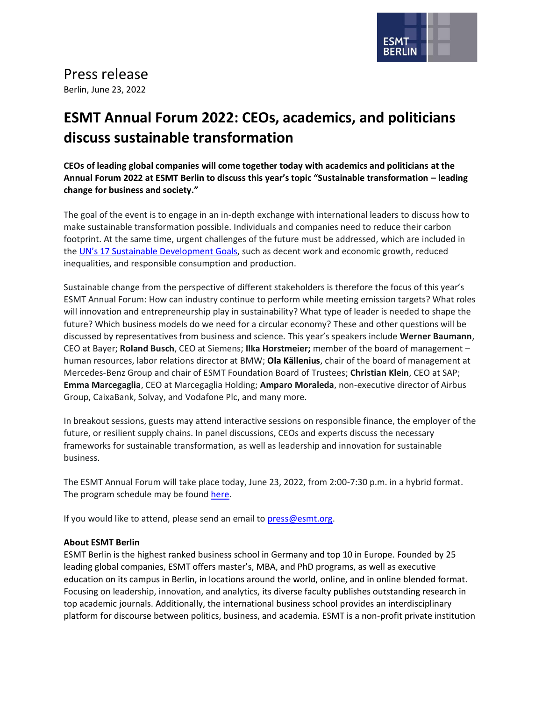

## Press release

Berlin, June 23, 2022

## **ESMT Annual Forum 2022: CEOs, academics, and politicians discuss sustainable transformation**

**CEOs of leading global companies will come together today with academics and politicians at the Annual Forum 2022 at ESMT Berlin to discuss this year's topic "Sustainable transformation – leading change for business and society."**

The goal of the event is to engage in an in-depth exchange with international leaders to discuss how to make sustainable transformation possible. Individuals and companies need to reduce their carbon footprint. At the same time, urgent challenges of the future must be addressed, which are included in the [UN's 17 Sustainable Development Goals](https://www.un.org/sustainabledevelopment/sustainable-development-goals/), such as decent work and economic growth, reduced inequalities, and responsible consumption and production.

Sustainable change from the perspective of different stakeholders is therefore the focus of this year's ESMT Annual Forum: How can industry continue to perform while meeting emission targets? What roles will innovation and entrepreneurship play in sustainability? What type of leader is needed to shape the future? Which business models do we need for a circular economy? These and other questions will be discussed by representatives from business and science. This year's speakers include **Werner Baumann**, CEO at Bayer; **Roland Busch**, CEO at Siemens; **Ilka Horstmeier;** member of the board of management – human resources, labor relations director at BMW; **Ola Källenius**, chair of the board of management at Mercedes-Benz Group and chair of ESMT Foundation Board of Trustees; **Christian Klein**, CEO at SAP; **Emma Marcegaglia**, CEO at Marcegaglia Holding; **Amparo Moraleda**, non-executive director of Airbus Group, CaixaBank, Solvay, and Vodafone Plc, and many more.

In breakout sessions, guests may attend interactive sessions on responsible finance, the employer of the future, or resilient supply chains. In panel discussions, CEOs and experts discuss the necessary frameworks for sustainable transformation, as well as leadership and innovation for sustainable business.

The ESMT Annual Forum will take place today, June 23, 2022, from 2:00-7:30 p.m. in a hybrid format. The program schedule may be found [here.](https://esmt.berlin/events/esmt-annual-forum)

If you would like to attend, please send an email to [press@esmt.org.](mailto:press@esmt.org?subject=ESMT%20Annual%20Forum%20registration)

## **About ESMT Berlin**

ESMT Berlin is the highest ranked business school in Germany and top 10 in Europe. Founded by 25 leading global companies, ESMT offers master's, MBA, and PhD programs, as well as executive education on its campus in Berlin, in locations around the world, online, and in online blended format. Focusing on leadership, innovation, and analytics, its diverse faculty publishes outstanding research in top academic journals. Additionally, the international business school provides an interdisciplinary platform for discourse between politics, business, and academia. ESMT is a non-profit private institution